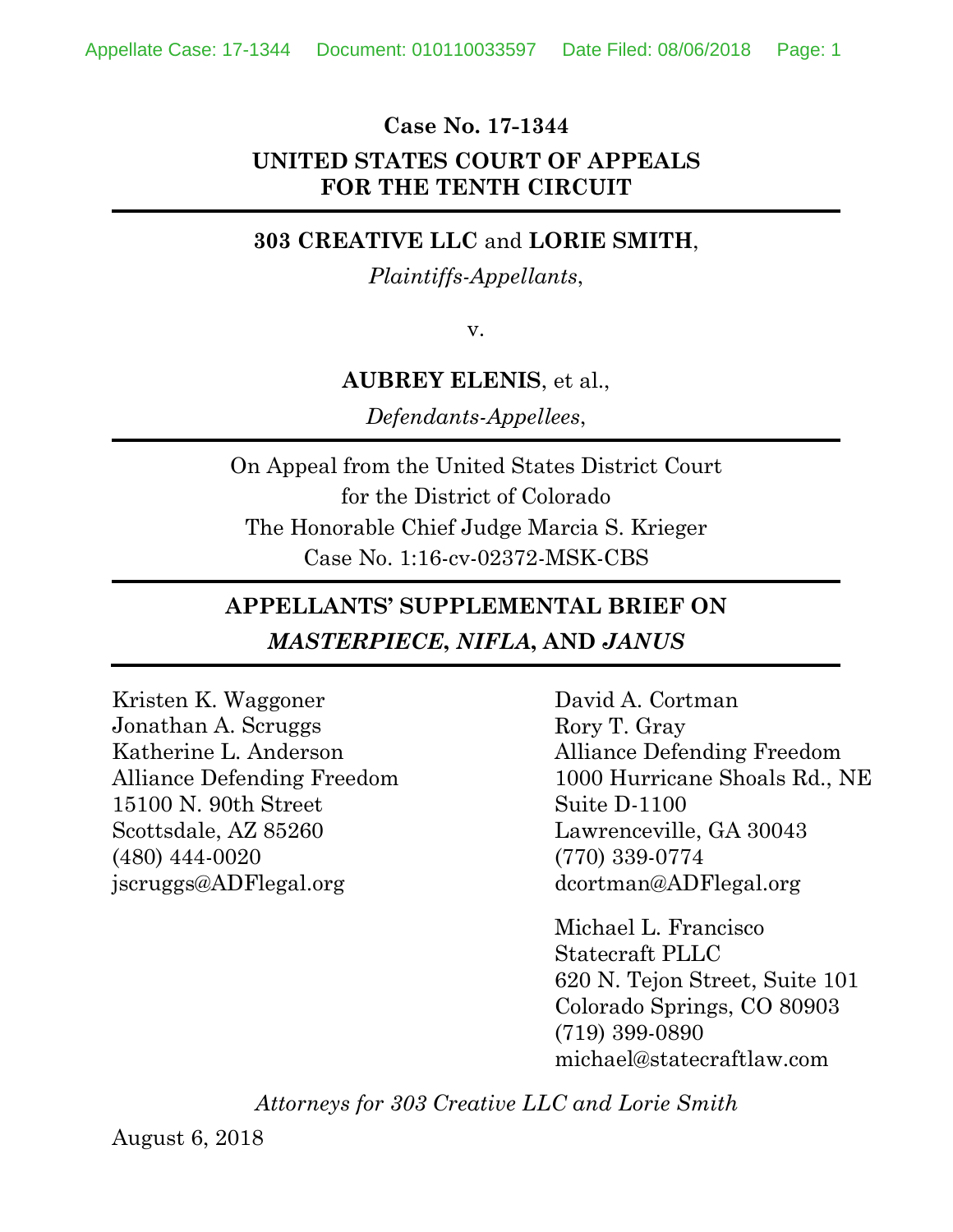#### **Case No. 17-1344**

## **UNITED STATES COURT OF APPEALS FOR THE TENTH CIRCUIT**

### **303 CREATIVE LLC** and **LORIE SMITH**,

*Plaintiffs-Appellants*,

v.

#### **AUBREY ELENIS**, et al.,

*Defendants-Appellees*,

On Appeal from the United States District Court for the District of Colorado The Honorable Chief Judge Marcia S. Krieger Case No. 1:16-cv-02372-MSK-CBS

## **APPELLANTS' SUPPLEMENTAL BRIEF ON**  *MASTERPIECE***,** *NIFLA***, AND** *JANUS*

Kristen K. Waggoner Jonathan A. Scruggs Katherine L. Anderson Alliance Defending Freedom 15100 N. 90th Street Scottsdale, AZ 85260 (480) 444-0020 jscruggs@ADFlegal.org

David A. Cortman Rory T. Gray Alliance Defending Freedom 1000 Hurricane Shoals Rd., NE Suite D-1100 Lawrenceville, GA 30043 (770) 339-0774 dcortman@ADFlegal.org

Michael L. Francisco Statecraft PLLC 620 N. Tejon Street, Suite 101 Colorado Springs, CO 80903 (719) 399-0890 michael@statecraftlaw.com

*Attorneys for 303 Creative LLC and Lorie Smith*

August 6, 2018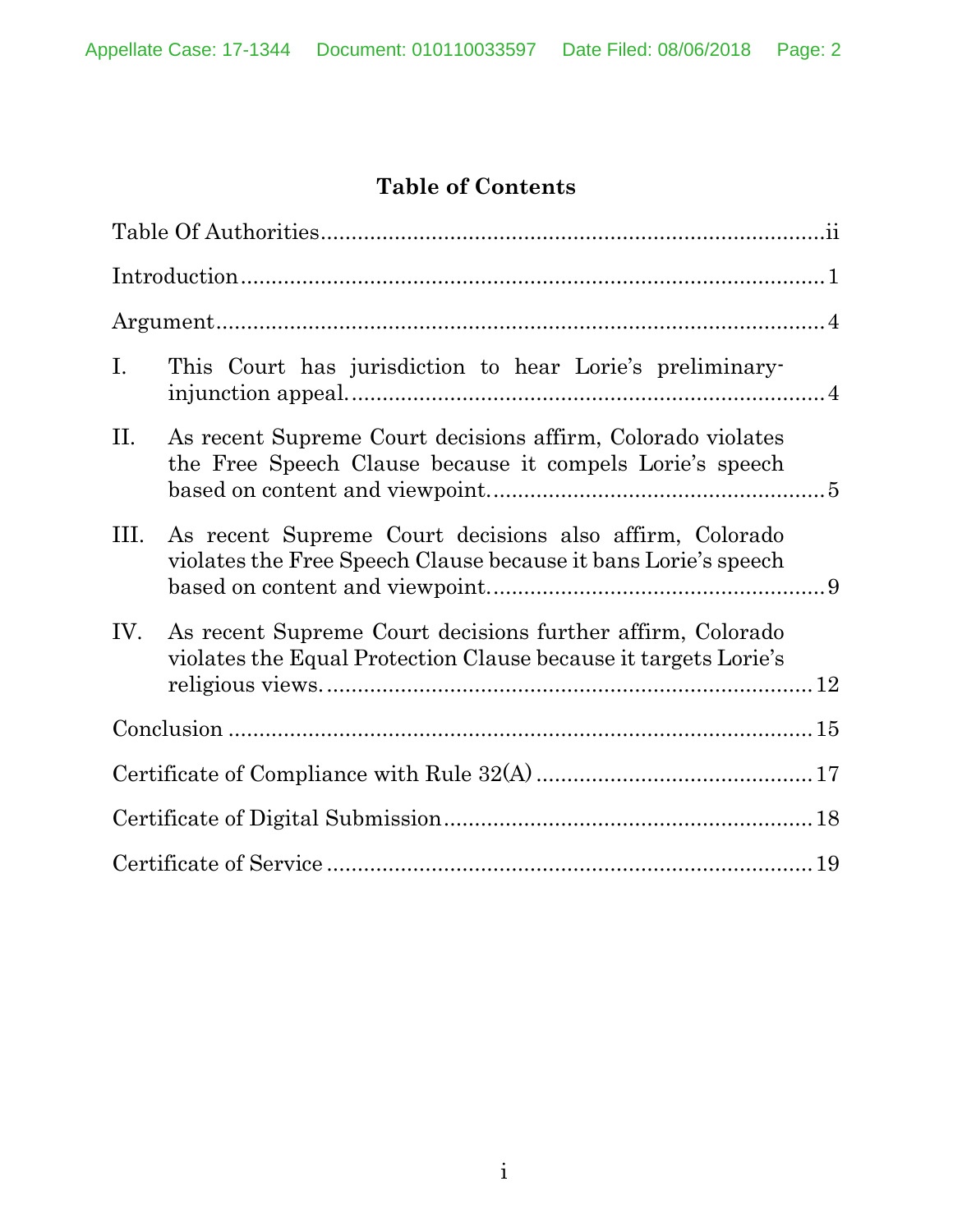# **Table of Contents**

| Ι.   | This Court has jurisdiction to hear Lorie's preliminary-                                                                      |  |
|------|-------------------------------------------------------------------------------------------------------------------------------|--|
| II.  | As recent Supreme Court decisions affirm, Colorado violates<br>the Free Speech Clause because it compels Lorie's speech       |  |
| III. | As recent Supreme Court decisions also affirm, Colorado<br>violates the Free Speech Clause because it bans Lorie's speech     |  |
| IV.  | As recent Supreme Court decisions further affirm, Colorado<br>violates the Equal Protection Clause because it targets Lorie's |  |
|      |                                                                                                                               |  |
|      |                                                                                                                               |  |
|      |                                                                                                                               |  |
|      |                                                                                                                               |  |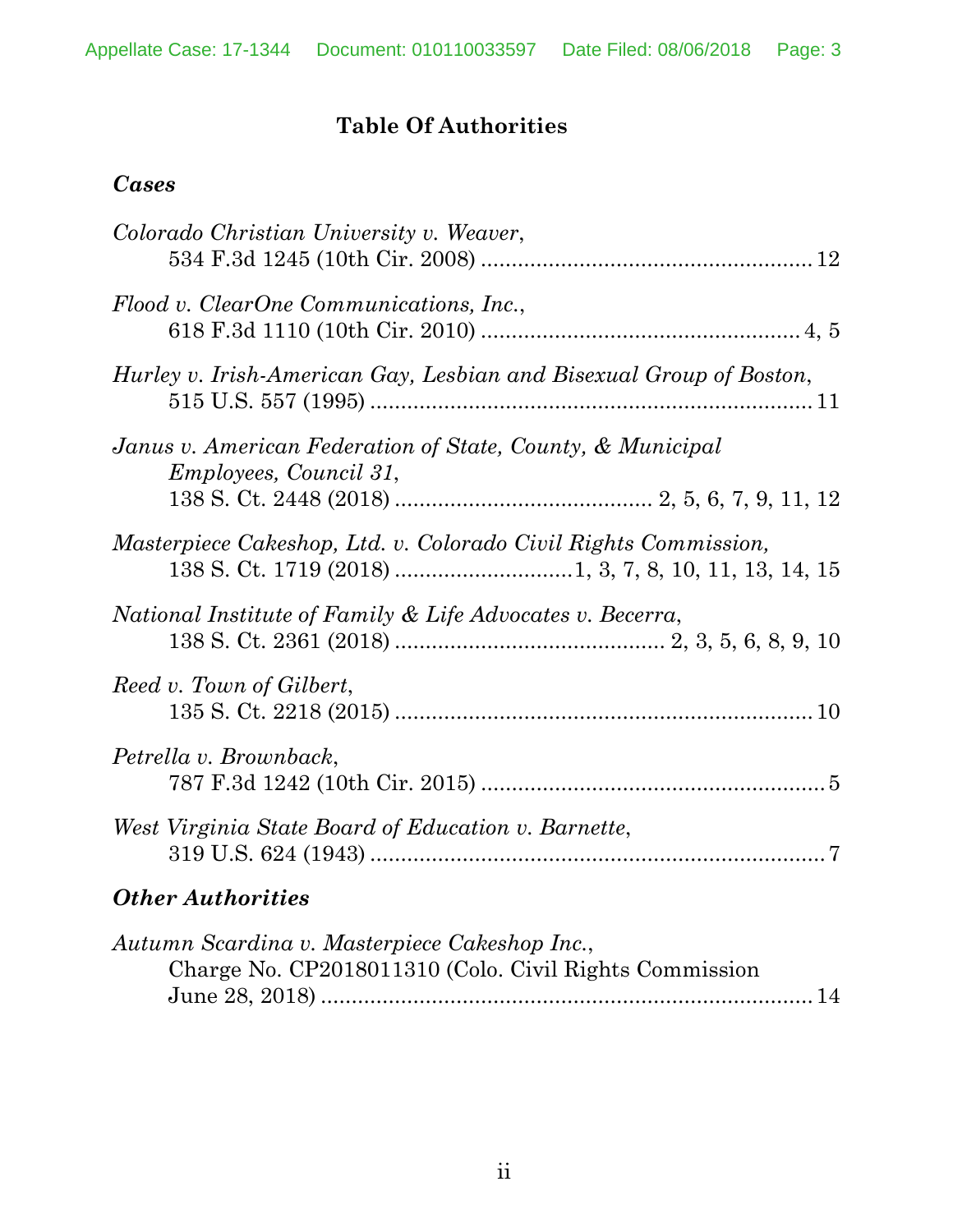## **Table Of Authorities**

## *Cases*

| Colorado Christian University v. Weaver,                                                                |
|---------------------------------------------------------------------------------------------------------|
| Flood v. ClearOne Communications, Inc.,                                                                 |
| Hurley v. Irish-American Gay, Lesbian and Bisexual Group of Boston,                                     |
| Janus v. American Federation of State, County, & Municipal<br><i>Employees, Council 31,</i>             |
| Masterpiece Cakeshop, Ltd. v. Colorado Civil Rights Commission,                                         |
| National Institute of Family & Life Advocates v. Becerra,                                               |
| Reed v. Town of Gilbert,                                                                                |
| Petrella v. Brownback,                                                                                  |
| West Virginia State Board of Education v. Barnette,                                                     |
| <b>Other Authorities</b>                                                                                |
| Autumn Scardina v. Masterpiece Cakeshop Inc.,<br>Charge No. CP2018011310 (Colo. Civil Rights Commission |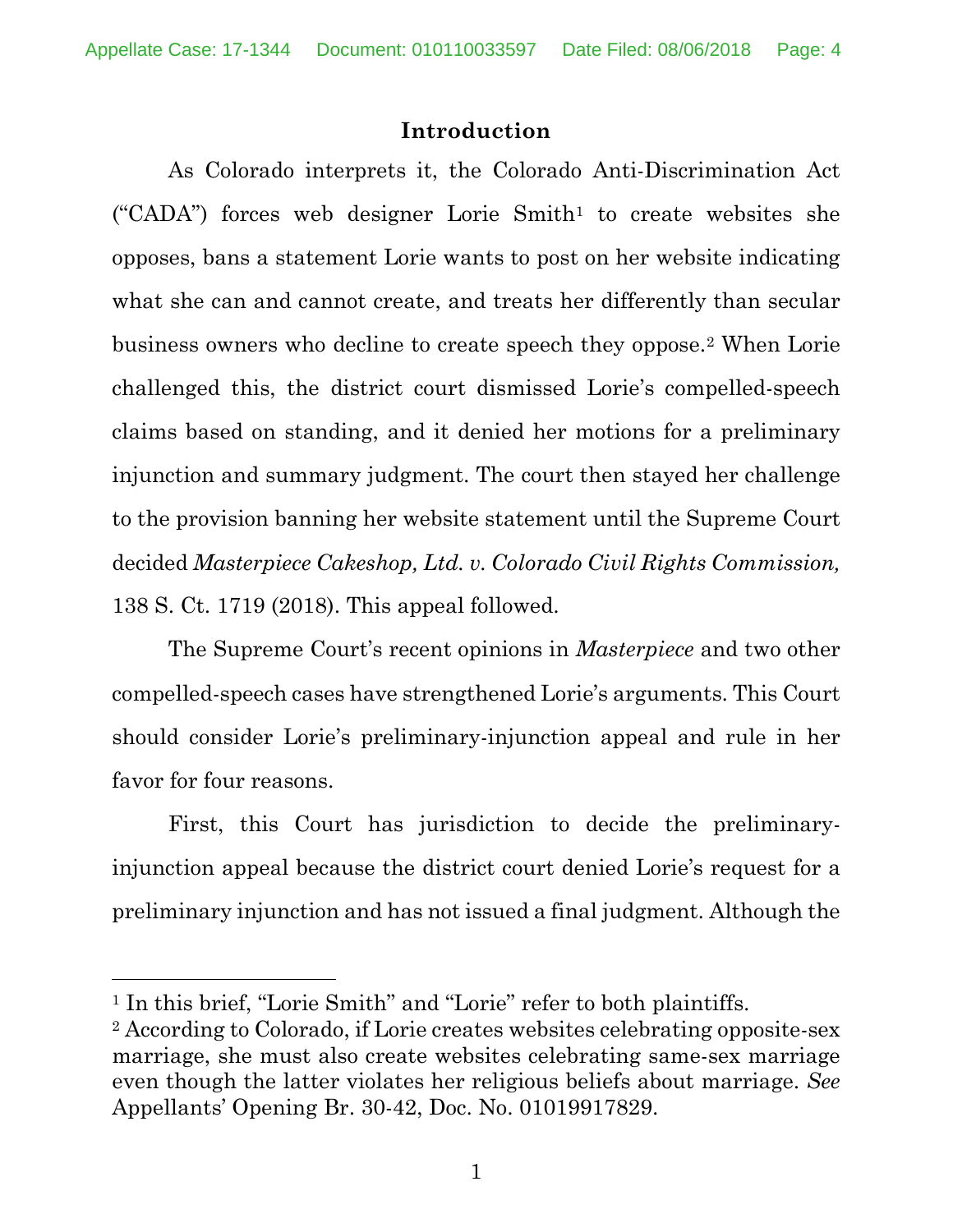### **Introduction**

As Colorado interprets it, the Colorado Anti-Discrimination Act  $("CADA")$  forces web designer Lorie Smith<sup>1</sup> to create websites she opposes, bans a statement Lorie wants to post on her website indicating what she can and cannot create, and treats her differently than secular business owners who decline to create speech they oppose.2 When Lorie challenged this, the district court dismissed Lorie's compelled-speech claims based on standing, and it denied her motions for a preliminary injunction and summary judgment. The court then stayed her challenge to the provision banning her website statement until the Supreme Court decided *Masterpiece Cakeshop, Ltd. v. Colorado Civil Rights Commission,* 138 S. Ct. 1719 (2018). This appeal followed.

The Supreme Court's recent opinions in *Masterpiece* and two other compelled-speech cases have strengthened Lorie's arguments. This Court should consider Lorie's preliminary-injunction appeal and rule in her favor for four reasons.

First, this Court has jurisdiction to decide the preliminaryinjunction appeal because the district court denied Lorie's request for a preliminary injunction and has not issued a final judgment. Although the

l

<sup>&</sup>lt;sup>1</sup> In this brief, "Lorie Smith" and "Lorie" refer to both plaintiffs.

<sup>2</sup> According to Colorado, if Lorie creates websites celebrating opposite-sex marriage, she must also create websites celebrating same-sex marriage even though the latter violates her religious beliefs about marriage. *See* Appellants' Opening Br. 30-42, Doc. No. 01019917829.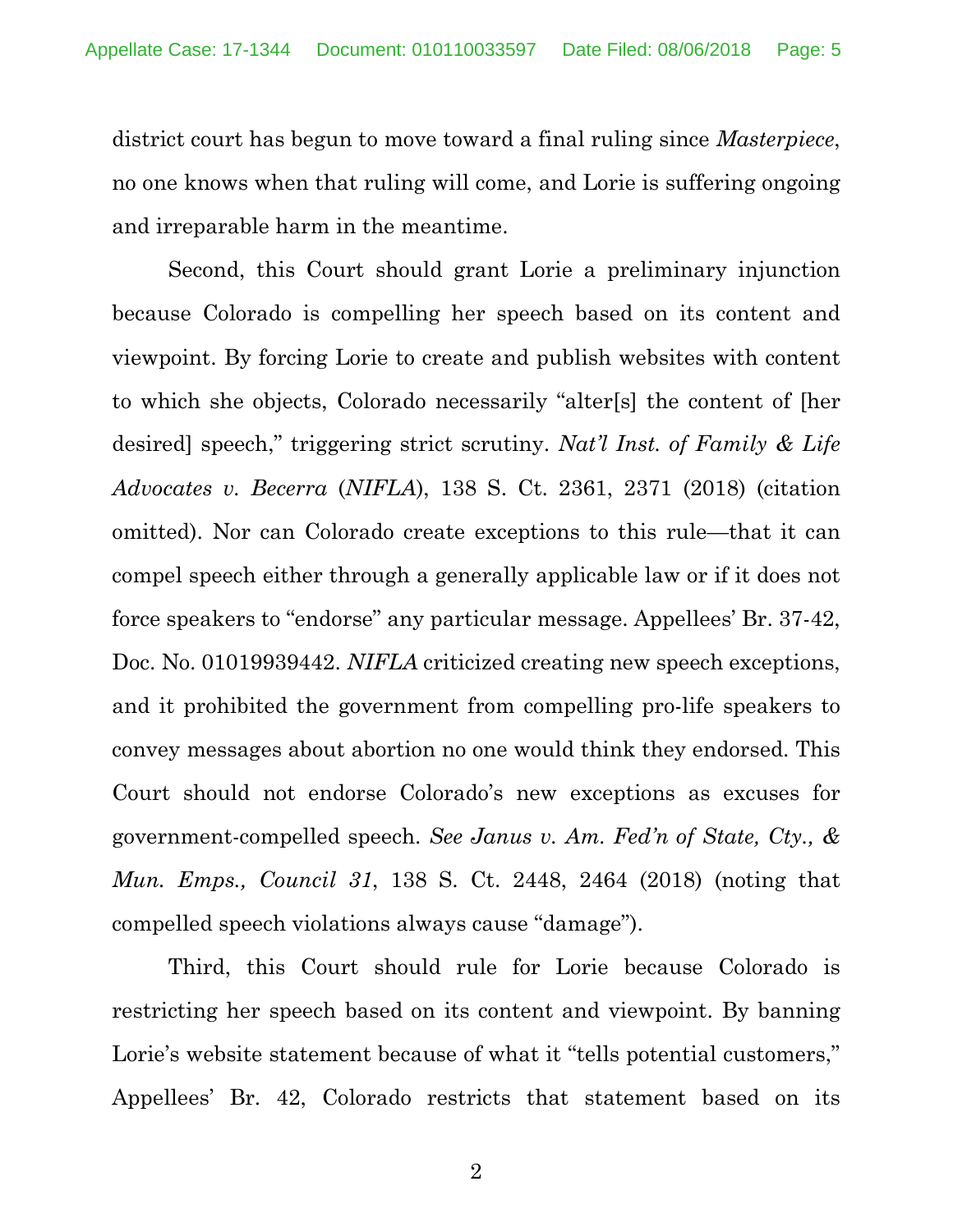district court has begun to move toward a final ruling since *Masterpiece*, no one knows when that ruling will come, and Lorie is suffering ongoing and irreparable harm in the meantime.

Second, this Court should grant Lorie a preliminary injunction because Colorado is compelling her speech based on its content and viewpoint. By forcing Lorie to create and publish websites with content to which she objects, Colorado necessarily "alter[s] the content of [her desired] speech," triggering strict scrutiny. *Nat'l Inst. of Family & Life Advocates v. Becerra* (*NIFLA*), 138 S. Ct. 2361, 2371 (2018) (citation omitted). Nor can Colorado create exceptions to this rule—that it can compel speech either through a generally applicable law or if it does not force speakers to "endorse" any particular message. Appellees' Br. 37-42, Doc. No. 01019939442. *NIFLA* criticized creating new speech exceptions, and it prohibited the government from compelling pro-life speakers to convey messages about abortion no one would think they endorsed. This Court should not endorse Colorado's new exceptions as excuses for government-compelled speech. *See Janus v. Am. Fed'n of State, Cty., & Mun. Emps., Council 31*, 138 S. Ct. 2448, 2464 (2018) (noting that compelled speech violations always cause "damage").

Third, this Court should rule for Lorie because Colorado is restricting her speech based on its content and viewpoint. By banning Lorie's website statement because of what it "tells potential customers," Appellees' Br. 42, Colorado restricts that statement based on its

2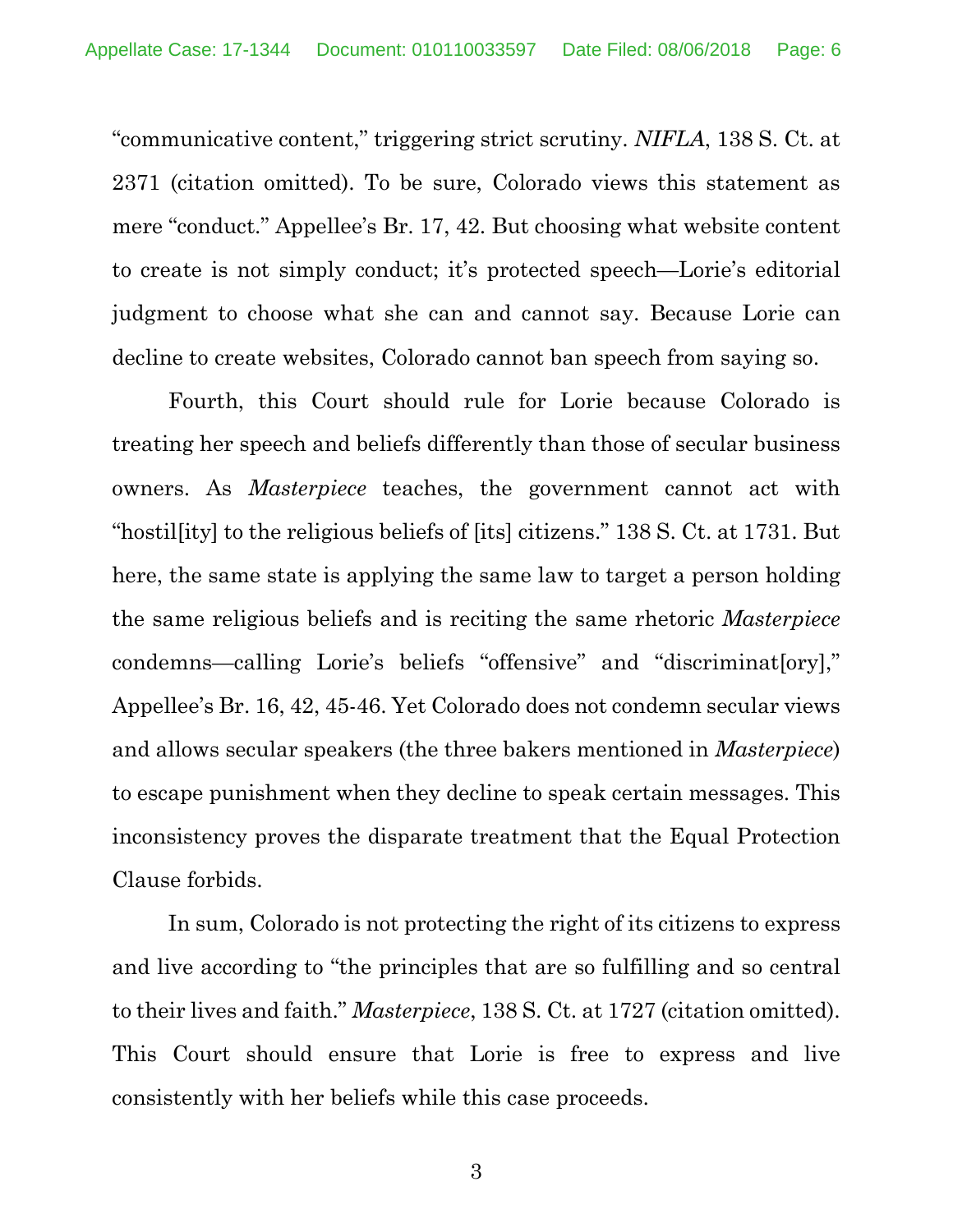"communicative content," triggering strict scrutiny. *NIFLA*, 138 S. Ct. at 2371 (citation omitted). To be sure, Colorado views this statement as mere "conduct." Appellee's Br. 17, 42. But choosing what website content to create is not simply conduct; it's protected speech—Lorie's editorial judgment to choose what she can and cannot say. Because Lorie can decline to create websites, Colorado cannot ban speech from saying so.

Fourth, this Court should rule for Lorie because Colorado is treating her speech and beliefs differently than those of secular business owners. As *Masterpiece* teaches, the government cannot act with "hostil[ity] to the religious beliefs of [its] citizens." 138 S. Ct. at 1731. But here, the same state is applying the same law to target a person holding the same religious beliefs and is reciting the same rhetoric *Masterpiece* condemns—calling Lorie's beliefs "offensive" and "discriminat[ory]," Appellee's Br. 16, 42, 45-46. Yet Colorado does not condemn secular views and allows secular speakers (the three bakers mentioned in *Masterpiece*) to escape punishment when they decline to speak certain messages. This inconsistency proves the disparate treatment that the Equal Protection Clause forbids.

In sum, Colorado is not protecting the right of its citizens to express and live according to "the principles that are so fulfilling and so central to their lives and faith." *Masterpiece*, 138 S. Ct. at 1727 (citation omitted). This Court should ensure that Lorie is free to express and live consistently with her beliefs while this case proceeds.

3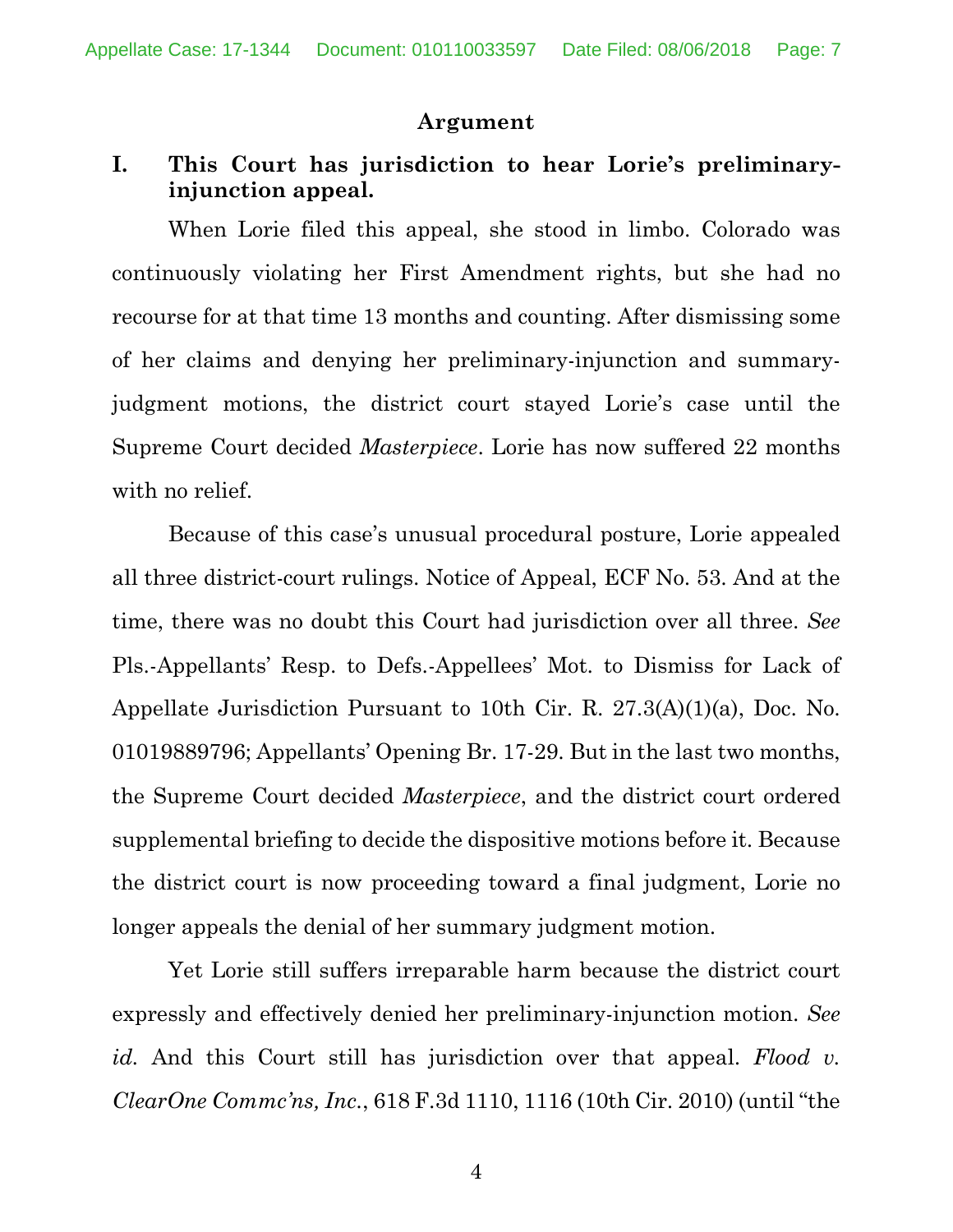#### **Argument**

## **I. This Court has jurisdiction to hear Lorie's preliminaryinjunction appeal.**

When Lorie filed this appeal, she stood in limbo. Colorado was continuously violating her First Amendment rights, but she had no recourse for at that time 13 months and counting. After dismissing some of her claims and denying her preliminary-injunction and summaryjudgment motions, the district court stayed Lorie's case until the Supreme Court decided *Masterpiece*. Lorie has now suffered 22 months with no relief.

Because of this case's unusual procedural posture, Lorie appealed all three district-court rulings. Notice of Appeal, ECF No. 53. And at the time, there was no doubt this Court had jurisdiction over all three. *See*  Pls.-Appellants' Resp. to Defs.-Appellees' Mot. to Dismiss for Lack of Appellate Jurisdiction Pursuant to 10th Cir. R. 27.3(A)(1)(a), Doc. No. 01019889796; Appellants' Opening Br. 17-29. But in the last two months, the Supreme Court decided *Masterpiece*, and the district court ordered supplemental briefing to decide the dispositive motions before it. Because the district court is now proceeding toward a final judgment, Lorie no longer appeals the denial of her summary judgment motion.

Yet Lorie still suffers irreparable harm because the district court expressly and effectively denied her preliminary-injunction motion. *See id.* And this Court still has jurisdiction over that appeal. *Flood v. ClearOne Commc'ns, Inc.*, 618 F.3d 1110, 1116 (10th Cir. 2010) (until "the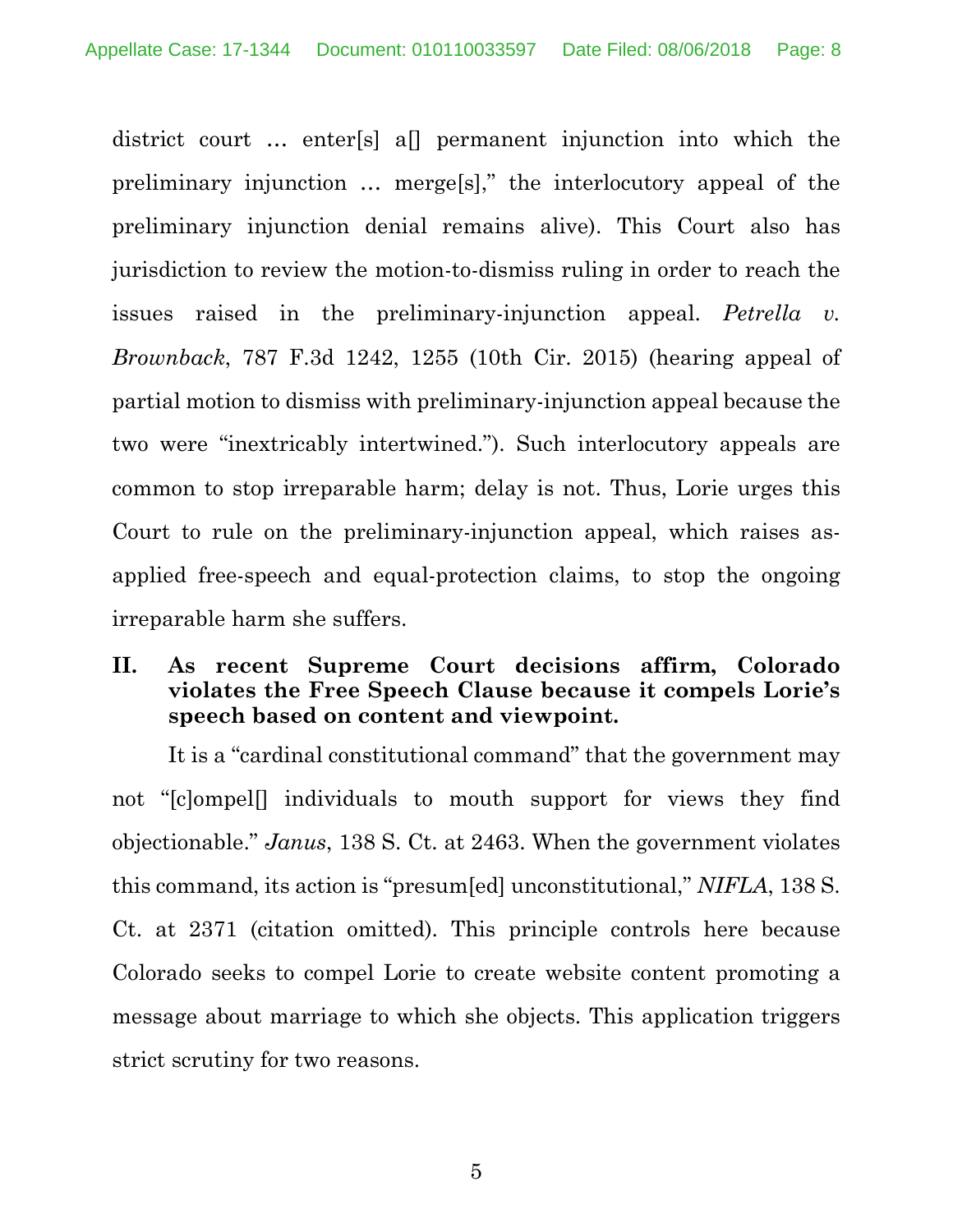district court … enter[s] a[] permanent injunction into which the preliminary injunction … merge[s]," the interlocutory appeal of the preliminary injunction denial remains alive). This Court also has jurisdiction to review the motion-to-dismiss ruling in order to reach the issues raised in the preliminary-injunction appeal. *Petrella v. Brownback*, 787 F.3d 1242, 1255 (10th Cir. 2015) (hearing appeal of partial motion to dismiss with preliminary-injunction appeal because the two were "inextricably intertwined."). Such interlocutory appeals are common to stop irreparable harm; delay is not. Thus, Lorie urges this Court to rule on the preliminary-injunction appeal, which raises asapplied free-speech and equal-protection claims, to stop the ongoing irreparable harm she suffers.

### **II. As recent Supreme Court decisions affirm, Colorado violates the Free Speech Clause because it compels Lorie's speech based on content and viewpoint.**

It is a "cardinal constitutional command" that the government may not "[c]ompel[] individuals to mouth support for views they find objectionable." *Janus*, 138 S. Ct. at 2463. When the government violates this command, its action is "presum[ed] unconstitutional," *NIFLA*, 138 S. Ct. at 2371 (citation omitted). This principle controls here because Colorado seeks to compel Lorie to create website content promoting a message about marriage to which she objects. This application triggers strict scrutiny for two reasons.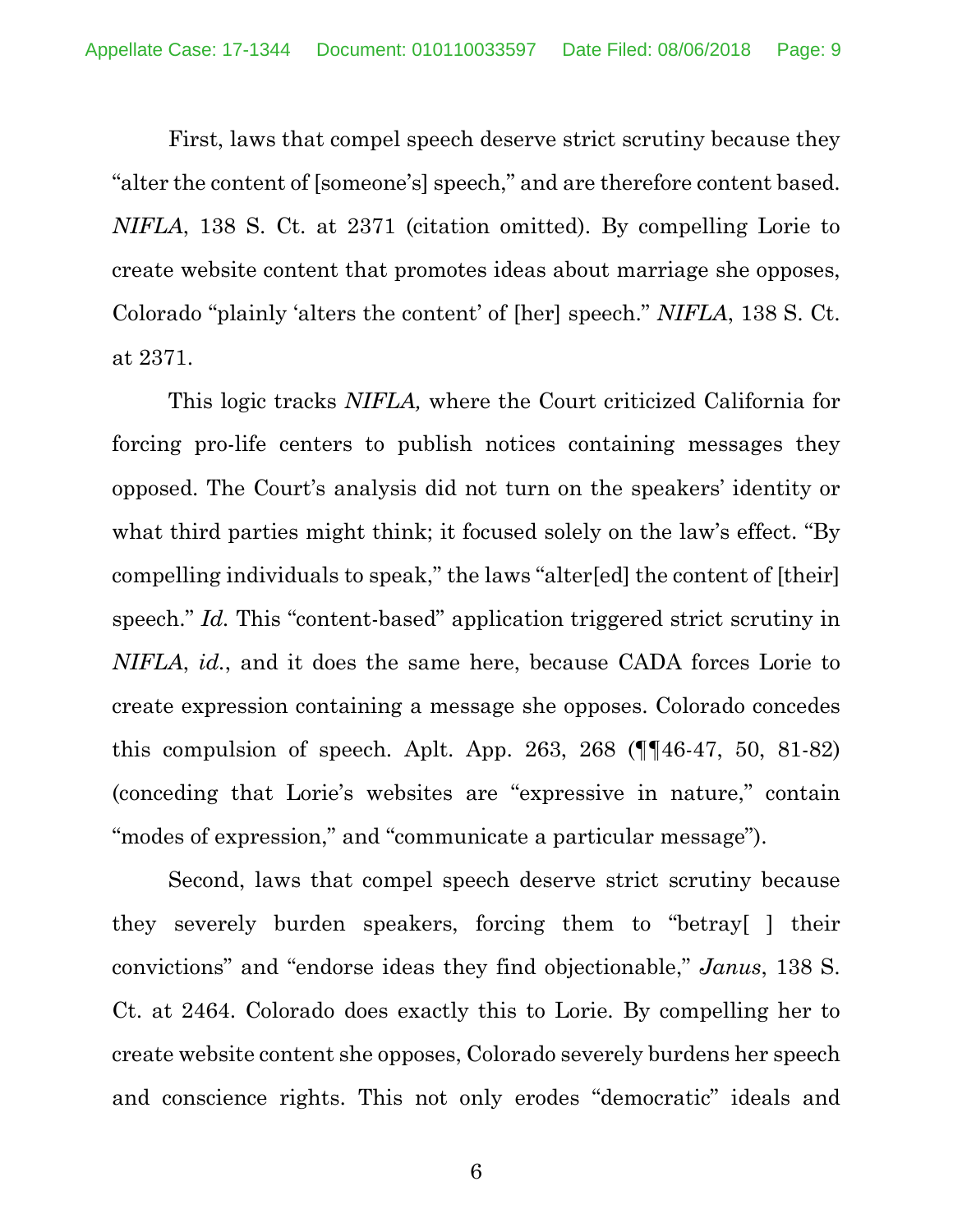First, laws that compel speech deserve strict scrutiny because they "alter the content of [someone's] speech," and are therefore content based. *NIFLA*, 138 S. Ct. at 2371 (citation omitted). By compelling Lorie to create website content that promotes ideas about marriage she opposes, Colorado "plainly 'alters the content' of [her] speech." *NIFLA*, 138 S. Ct. at 2371.

This logic tracks *NIFLA,* where the Court criticized California for forcing pro-life centers to publish notices containing messages they opposed. The Court's analysis did not turn on the speakers' identity or what third parties might think; it focused solely on the law's effect. "By compelling individuals to speak," the laws "alter[ed] the content of [their] speech." *Id.* This "content-based" application triggered strict scrutiny in *NIFLA*, *id.*, and it does the same here, because CADA forces Lorie to create expression containing a message she opposes. Colorado concedes this compulsion of speech. Aplt. App. 263, 268  $(\P\P 46-47, 50, 81-82)$ (conceding that Lorie's websites are "expressive in nature," contain "modes of expression," and "communicate a particular message").

Second, laws that compel speech deserve strict scrutiny because they severely burden speakers, forcing them to "betray[ ] their convictions" and "endorse ideas they find objectionable," *Janus*, 138 S. Ct. at 2464. Colorado does exactly this to Lorie. By compelling her to create website content she opposes, Colorado severely burdens her speech and conscience rights. This not only erodes "democratic" ideals and

6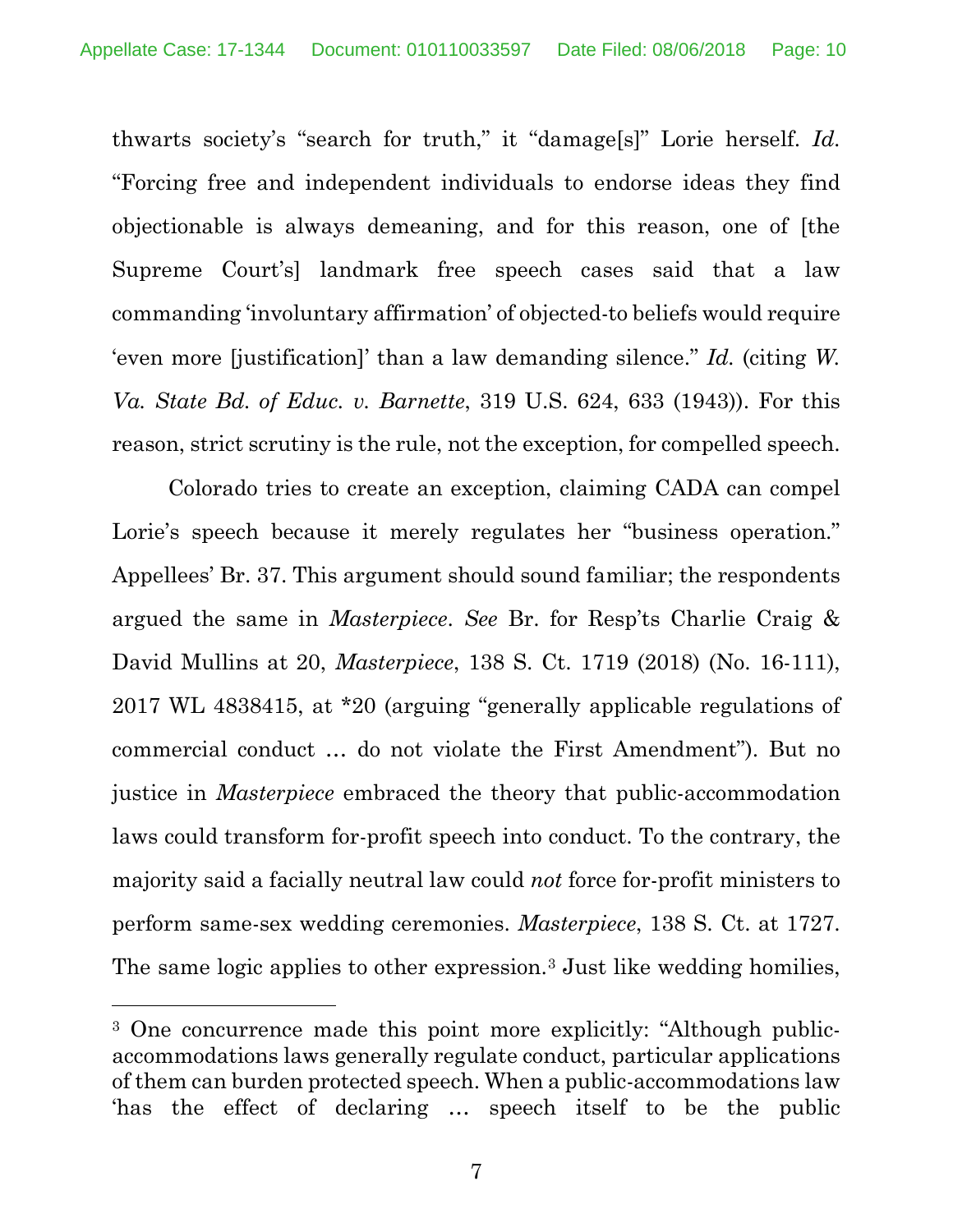thwarts society's "search for truth," it "damage[s]" Lorie herself. *Id*. "Forcing free and independent individuals to endorse ideas they find objectionable is always demeaning, and for this reason, one of [the Supreme Court's] landmark free speech cases said that a law commanding 'involuntary affirmation' of objected-to beliefs would require 'even more [justification]' than a law demanding silence." *Id.* (citing *W. Va. State Bd. of Educ. v. Barnette*, 319 U.S. 624, 633 (1943)). For this reason, strict scrutiny is the rule, not the exception, for compelled speech.

Colorado tries to create an exception, claiming CADA can compel Lorie's speech because it merely regulates her "business operation." Appellees' Br. 37. This argument should sound familiar; the respondents argued the same in *Masterpiece*. *See* Br. for Resp'ts Charlie Craig & David Mullins at 20, *Masterpiece*, 138 S. Ct. 1719 (2018) (No. 16-111), 2017 WL 4838415, at \*20 (arguing "generally applicable regulations of commercial conduct … do not violate the First Amendment"). But no justice in *Masterpiece* embraced the theory that public-accommodation laws could transform for-profit speech into conduct. To the contrary, the majority said a facially neutral law could *not* force for-profit ministers to perform same-sex wedding ceremonies. *Masterpiece*, 138 S. Ct. at 1727. The same logic applies to other expression.3 Just like wedding homilies,

 $\overline{a}$ 

<sup>&</sup>lt;sup>3</sup> One concurrence made this point more explicitly: "Although publicaccommodations laws generally regulate conduct, particular applications of them can burden protected speech. When a public-accommodations law 'has the effect of declaring … speech itself to be the public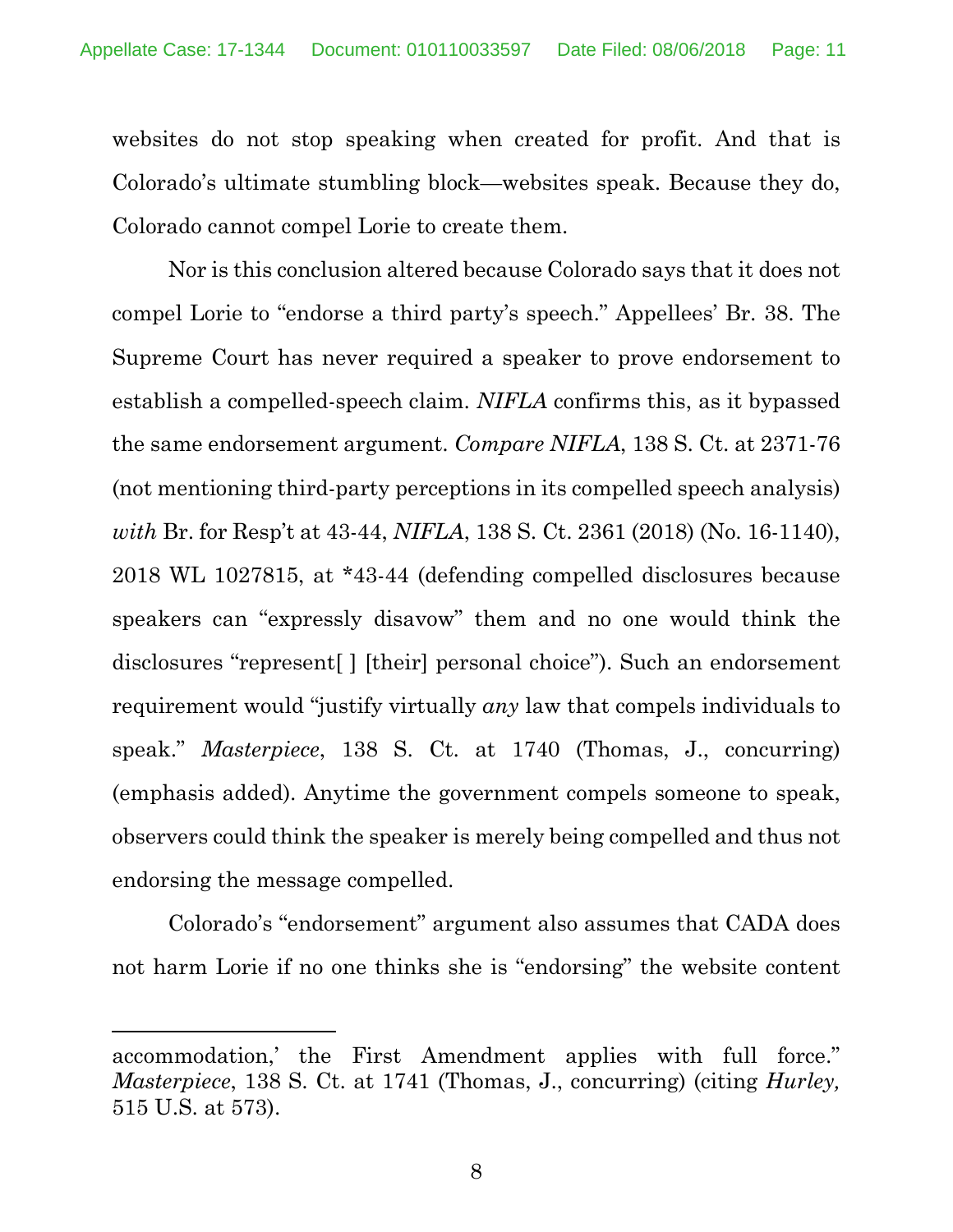websites do not stop speaking when created for profit. And that is Colorado's ultimate stumbling block—websites speak. Because they do, Colorado cannot compel Lorie to create them.

Nor is this conclusion altered because Colorado says that it does not compel Lorie to "endorse a third party's speech." Appellees' Br. 38. The Supreme Court has never required a speaker to prove endorsement to establish a compelled-speech claim. *NIFLA* confirms this, as it bypassed the same endorsement argument. *Compare NIFLA*, 138 S. Ct. at 2371-76 (not mentioning third-party perceptions in its compelled speech analysis) *with* Br. for Resp't at 43-44, *NIFLA*, 138 S. Ct. 2361 (2018) (No. 16-1140), 2018 WL 1027815, at \*43-44 (defending compelled disclosures because speakers can "expressly disavow" them and no one would think the disclosures "represent[ ] [their] personal choice"). Such an endorsement requirement would "justify virtually *any* law that compels individuals to speak." *Masterpiece*, 138 S. Ct. at 1740 (Thomas, J., concurring) (emphasis added). Anytime the government compels someone to speak, observers could think the speaker is merely being compelled and thus not endorsing the message compelled.

Colorado's "endorsement" argument also assumes that CADA does not harm Lorie if no one thinks she is "endorsing" the website content

l

accommodation,' the First Amendment applies with full force." *Masterpiece*, 138 S. Ct. at 1741 (Thomas, J., concurring) (citing *Hurley,*  515 U.S. at 573).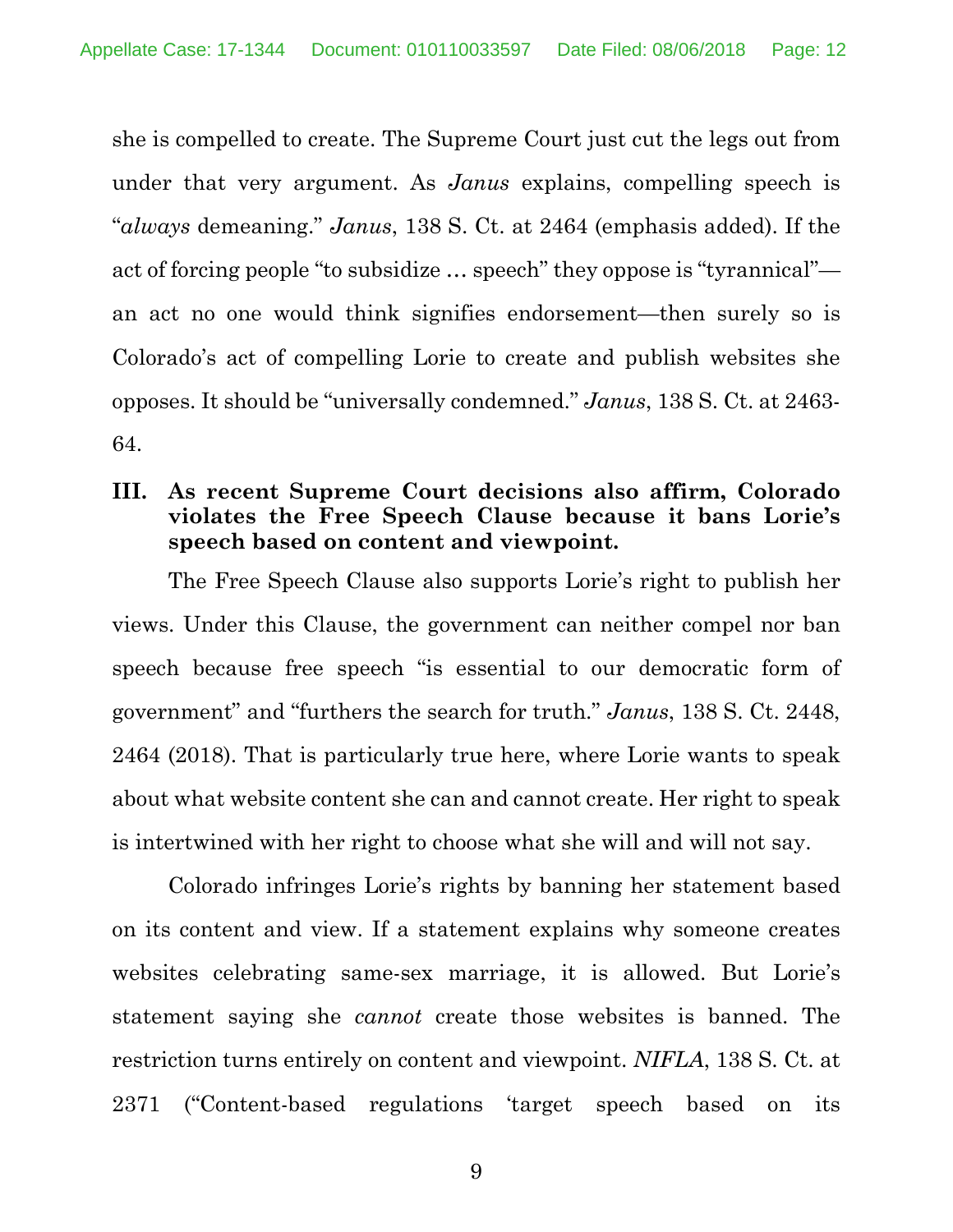she is compelled to create. The Supreme Court just cut the legs out from under that very argument. As *Janus* explains, compelling speech is "*always* demeaning." *Janus*, 138 S. Ct. at 2464 (emphasis added). If the act of forcing people "to subsidize … speech" they oppose is "tyrannical" an act no one would think signifies endorsement—then surely so is Colorado's act of compelling Lorie to create and publish websites she opposes. It should be "universally condemned." *Janus*, 138 S. Ct. at 2463- 64.

## **III. As recent Supreme Court decisions also affirm, Colorado violates the Free Speech Clause because it bans Lorie's speech based on content and viewpoint.**

The Free Speech Clause also supports Lorie's right to publish her views. Under this Clause, the government can neither compel nor ban speech because free speech "is essential to our democratic form of government" and "furthers the search for truth." *Janus*, 138 S. Ct. 2448, 2464 (2018). That is particularly true here, where Lorie wants to speak about what website content she can and cannot create. Her right to speak is intertwined with her right to choose what she will and will not say.

Colorado infringes Lorie's rights by banning her statement based on its content and view. If a statement explains why someone creates websites celebrating same-sex marriage, it is allowed. But Lorie's statement saying she *cannot* create those websites is banned. The restriction turns entirely on content and viewpoint. *NIFLA*, 138 S. Ct. at 2371 ("Content-based regulations 'target speech based on its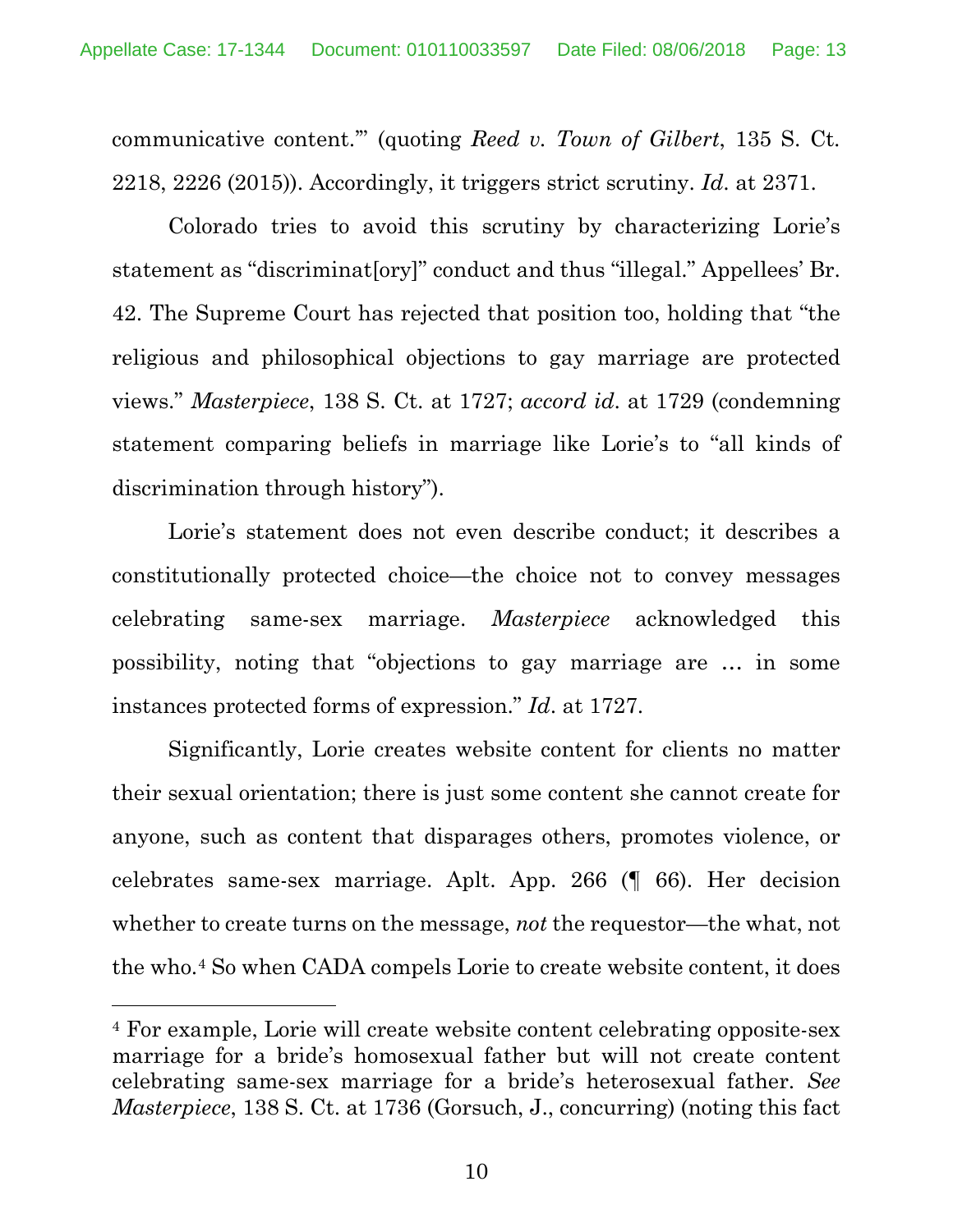communicative content.'" (quoting *Reed v. Town of Gilbert*, 135 S. Ct. 2218, 2226 (2015)). Accordingly, it triggers strict scrutiny. *Id*. at 2371.

Colorado tries to avoid this scrutiny by characterizing Lorie's statement as "discriminat[ory]" conduct and thus "illegal." Appellees' Br. 42. The Supreme Court has rejected that position too, holding that "the religious and philosophical objections to gay marriage are protected views." *Masterpiece*, 138 S. Ct. at 1727; *accord id*. at 1729 (condemning statement comparing beliefs in marriage like Lorie's to "all kinds of discrimination through history").

Lorie's statement does not even describe conduct; it describes a constitutionally protected choice—the choice not to convey messages celebrating same-sex marriage. *Masterpiece* acknowledged this possibility, noting that "objections to gay marriage are … in some instances protected forms of expression." *Id*. at 1727.

Significantly, Lorie creates website content for clients no matter their sexual orientation; there is just some content she cannot create for anyone, such as content that disparages others, promotes violence, or celebrates same-sex marriage. Aplt. App. 266 (¶ 66). Her decision whether to create turns on the message, *not* the requestor—the what, not the who.4 So when CADA compels Lorie to create website content, it does

 $\overline{a}$ 

<sup>4</sup> For example, Lorie will create website content celebrating opposite-sex marriage for a bride's homosexual father but will not create content celebrating same-sex marriage for a bride's heterosexual father. *See Masterpiece*, 138 S. Ct. at 1736 (Gorsuch, J., concurring) (noting this fact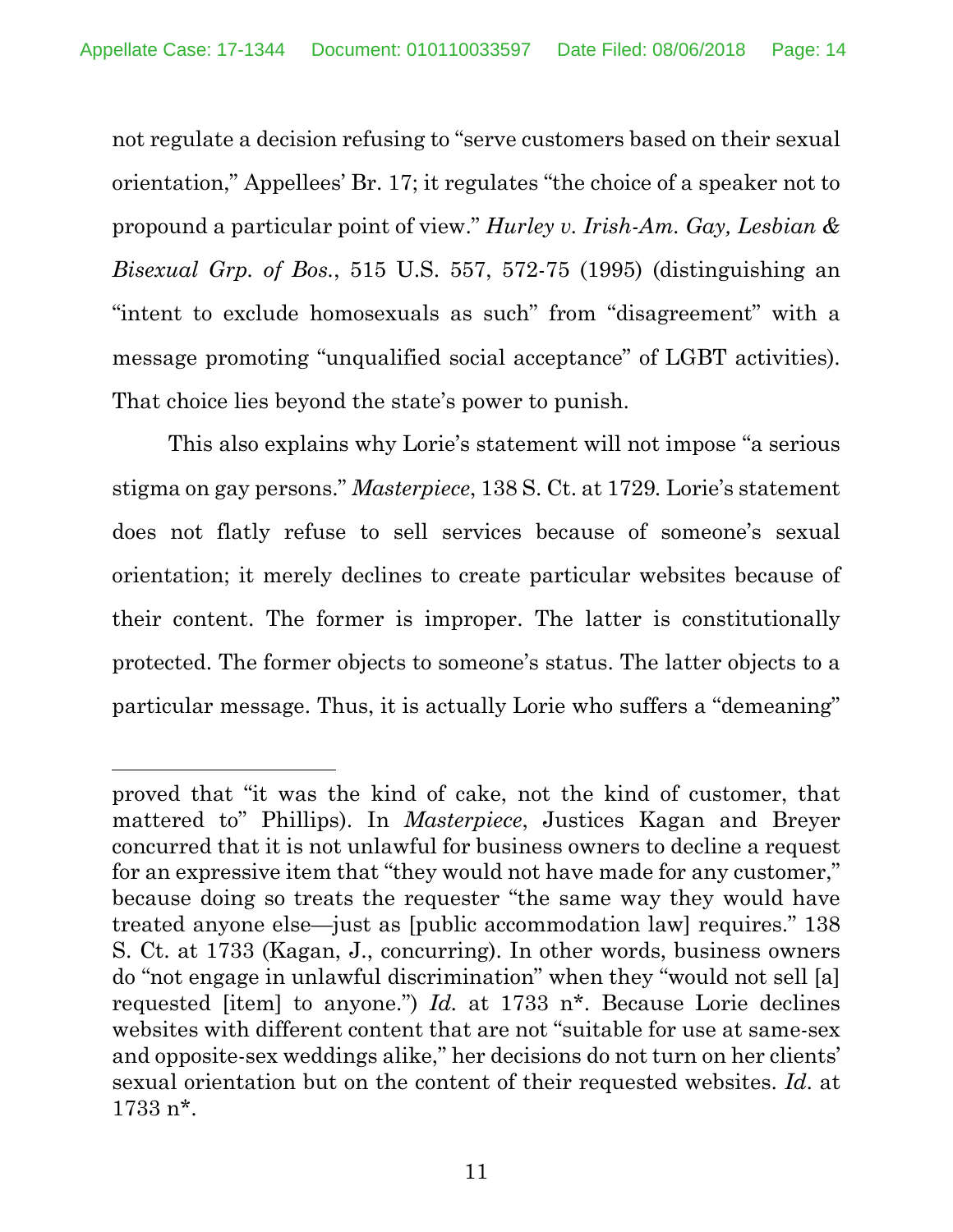not regulate a decision refusing to "serve customers based on their sexual orientation," Appellees' Br. 17; it regulates "the choice of a speaker not to propound a particular point of view." *Hurley v. Irish-Am. Gay, Lesbian & Bisexual Grp. of Bos.*, 515 U.S. 557, 572-75 (1995) (distinguishing an "intent to exclude homosexuals as such" from "disagreement" with a message promoting "unqualified social acceptance" of LGBT activities). That choice lies beyond the state's power to punish.

This also explains why Lorie's statement will not impose "a serious stigma on gay persons." *Masterpiece*, 138 S. Ct. at 1729*.* Lorie's statement does not flatly refuse to sell services because of someone's sexual orientation; it merely declines to create particular websites because of their content. The former is improper. The latter is constitutionally protected. The former objects to someone's status. The latter objects to a particular message. Thus, it is actually Lorie who suffers a "demeaning"

l

proved that "it was the kind of cake, not the kind of customer, that mattered to" Phillips). In *Masterpiece*, Justices Kagan and Breyer concurred that it is not unlawful for business owners to decline a request for an expressive item that "they would not have made for any customer," because doing so treats the requester "the same way they would have treated anyone else—just as [public accommodation law] requires." 138 S. Ct. at 1733 (Kagan, J., concurring). In other words, business owners do "not engage in unlawful discrimination" when they "would not sell [a] requested [item] to anyone.") *Id.* at 1733 n\*. Because Lorie declines websites with different content that are not "suitable for use at same-sex and opposite-sex weddings alike," her decisions do not turn on her clients' sexual orientation but on the content of their requested websites. *Id*. at 1733 n\*.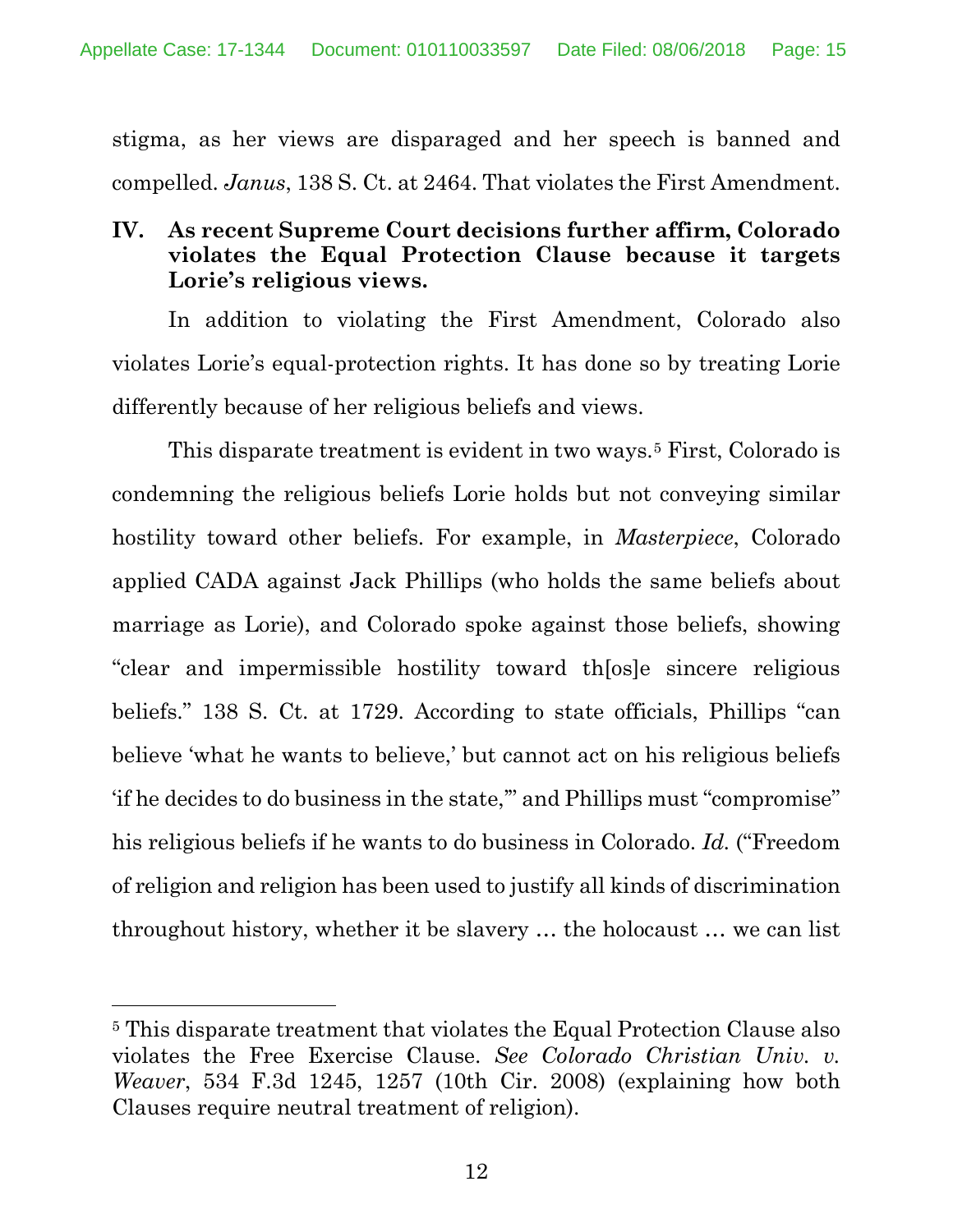stigma, as her views are disparaged and her speech is banned and compelled. *Janus*, 138 S. Ct. at 2464. That violates the First Amendment.

## **IV. As recent Supreme Court decisions further affirm, Colorado violates the Equal Protection Clause because it targets Lorie's religious views.**

In addition to violating the First Amendment, Colorado also violates Lorie's equal-protection rights. It has done so by treating Lorie differently because of her religious beliefs and views.

This disparate treatment is evident in two ways.5 First, Colorado is condemning the religious beliefs Lorie holds but not conveying similar hostility toward other beliefs. For example, in *Masterpiece*, Colorado applied CADA against Jack Phillips (who holds the same beliefs about marriage as Lorie), and Colorado spoke against those beliefs, showing "clear and impermissible hostility toward th[os]e sincere religious beliefs." 138 S. Ct. at 1729. According to state officials, Phillips "can believe 'what he wants to believe,' but cannot act on his religious beliefs 'if he decides to do business in the state,'" and Phillips must "compromise" his religious beliefs if he wants to do business in Colorado. *Id.* ("Freedom of religion and religion has been used to justify all kinds of discrimination throughout history, whether it be slavery … the holocaust … we can list

 $\overline{a}$ 

<sup>5</sup> This disparate treatment that violates the Equal Protection Clause also violates the Free Exercise Clause. *See Colorado Christian Univ. v. Weaver*, 534 F.3d 1245, 1257 (10th Cir. 2008) (explaining how both Clauses require neutral treatment of religion).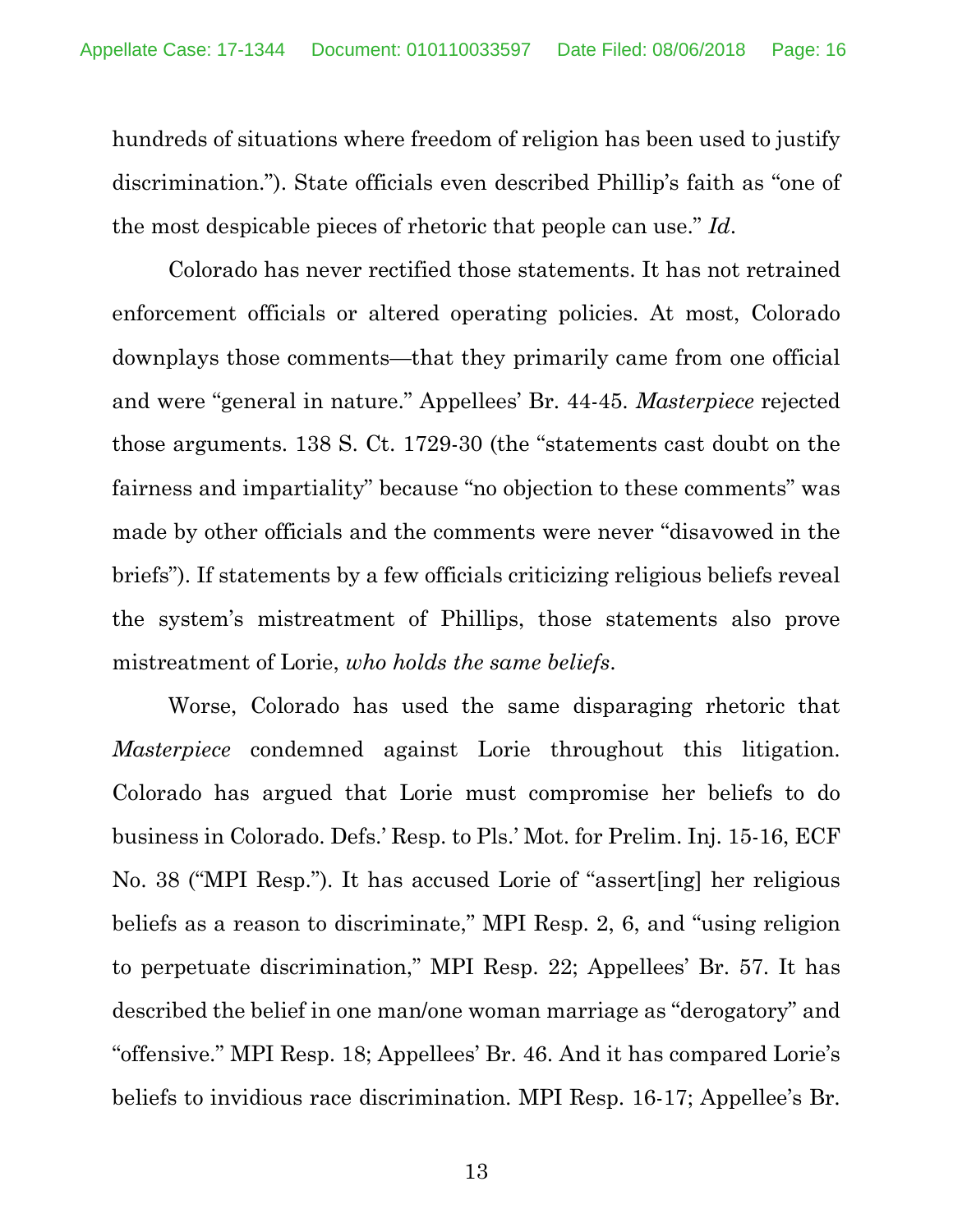hundreds of situations where freedom of religion has been used to justify discrimination."). State officials even described Phillip's faith as "one of the most despicable pieces of rhetoric that people can use." *Id*.

Colorado has never rectified those statements. It has not retrained enforcement officials or altered operating policies. At most, Colorado downplays those comments—that they primarily came from one official and were "general in nature." Appellees' Br. 44-45. *Masterpiece* rejected those arguments. 138 S. Ct. 1729-30 (the "statements cast doubt on the fairness and impartiality" because "no objection to these comments" was made by other officials and the comments were never "disavowed in the briefs"). If statements by a few officials criticizing religious beliefs reveal the system's mistreatment of Phillips, those statements also prove mistreatment of Lorie, *who holds the same beliefs*.

Worse, Colorado has used the same disparaging rhetoric that *Masterpiece* condemned against Lorie throughout this litigation. Colorado has argued that Lorie must compromise her beliefs to do business in Colorado. Defs.' Resp. to Pls.' Mot. for Prelim. Inj. 15-16, ECF No. 38 ("MPI Resp."). It has accused Lorie of "assert[ing] her religious beliefs as a reason to discriminate," MPI Resp. 2, 6, and "using religion to perpetuate discrimination," MPI Resp. 22; Appellees' Br. 57. It has described the belief in one man/one woman marriage as "derogatory" and "offensive." MPI Resp. 18; Appellees' Br. 46. And it has compared Lorie's beliefs to invidious race discrimination. MPI Resp. 16-17; Appellee's Br.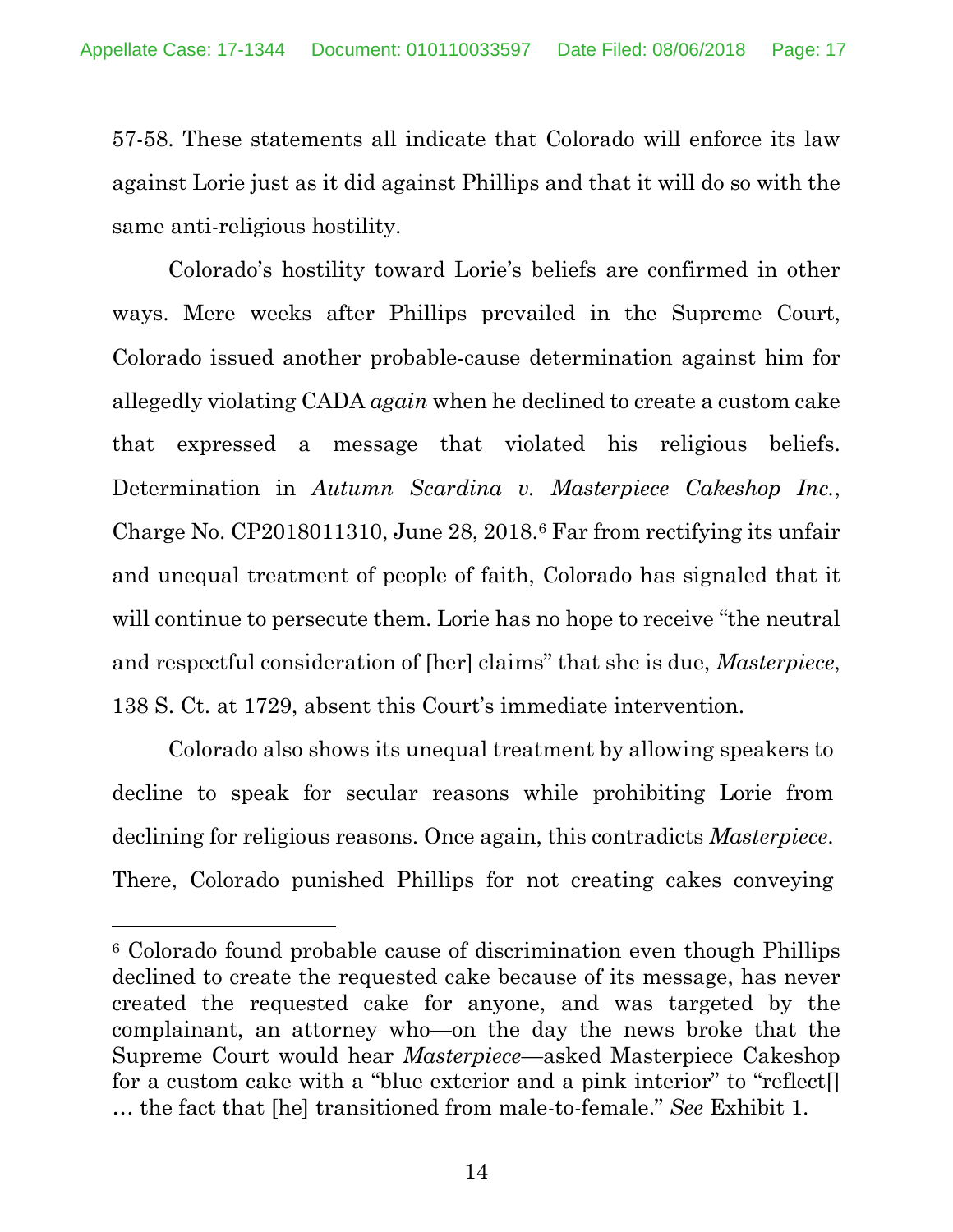57-58. These statements all indicate that Colorado will enforce its law against Lorie just as it did against Phillips and that it will do so with the same anti-religious hostility.

Colorado's hostility toward Lorie's beliefs are confirmed in other ways. Mere weeks after Phillips prevailed in the Supreme Court, Colorado issued another probable-cause determination against him for allegedly violating CADA *again* when he declined to create a custom cake that expressed a message that violated his religious beliefs. Determination in *Autumn Scardina v. Masterpiece Cakeshop Inc.*, Charge No. CP2018011310, June 28, 2018.6 Far from rectifying its unfair and unequal treatment of people of faith, Colorado has signaled that it will continue to persecute them. Lorie has no hope to receive "the neutral" and respectful consideration of [her] claims" that she is due, *Masterpiece*, 138 S. Ct. at 1729, absent this Court's immediate intervention.

Colorado also shows its unequal treatment by allowing speakers to decline to speak for secular reasons while prohibiting Lorie from declining for religious reasons. Once again, this contradicts *Masterpiece*. There, Colorado punished Phillips for not creating cakes conveying

 $\overline{a}$ 

<sup>6</sup> Colorado found probable cause of discrimination even though Phillips declined to create the requested cake because of its message, has never created the requested cake for anyone, and was targeted by the complainant, an attorney who—on the day the news broke that the Supreme Court would hear *Masterpiece*—asked Masterpiece Cakeshop for a custom cake with a "blue exterior and a pink interior" to "reflect[] … the fact that [he] transitioned from male-to-female." *See* Exhibit 1.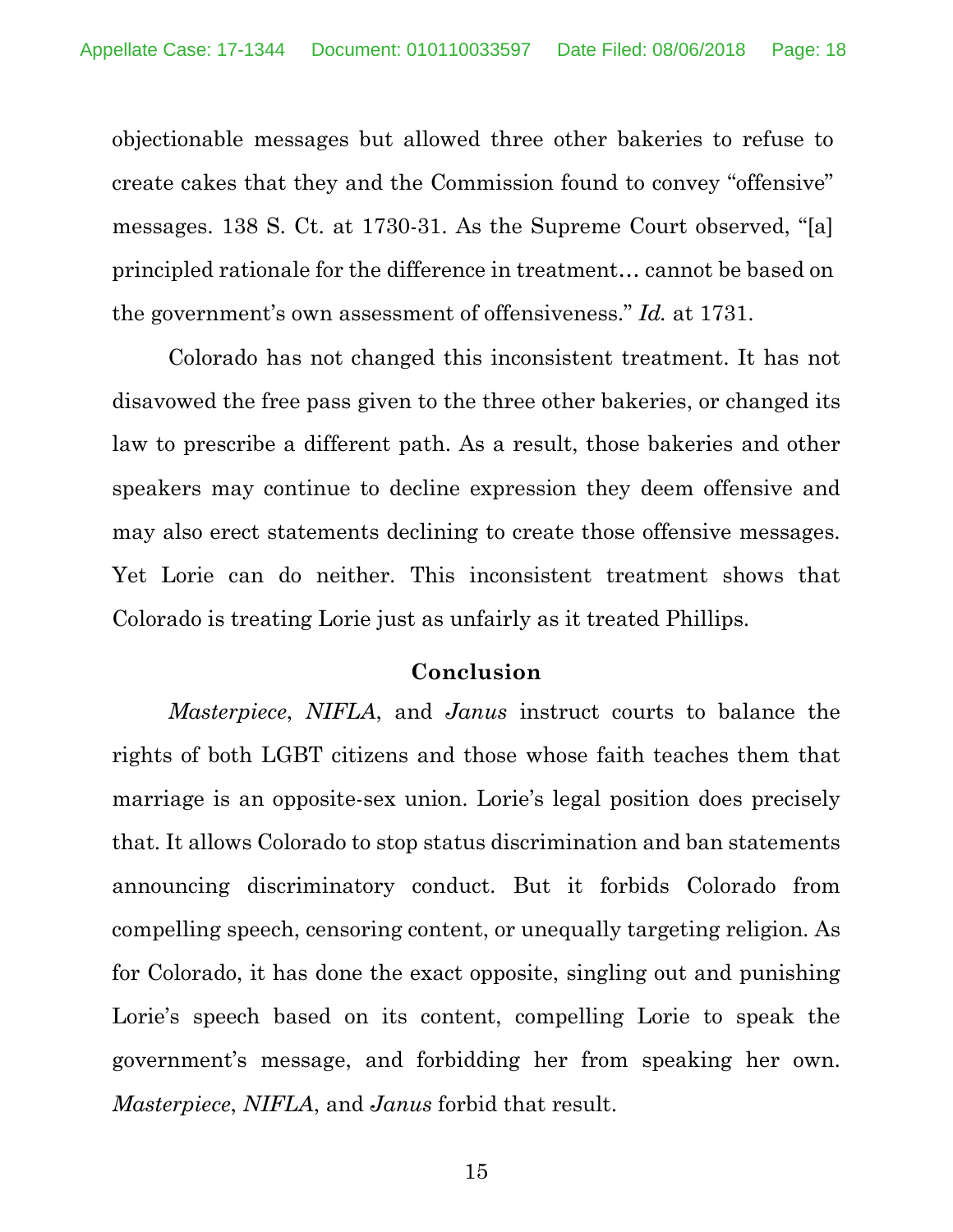objectionable messages but allowed three other bakeries to refuse to create cakes that they and the Commission found to convey "offensive" messages. 138 S. Ct. at 1730-31. As the Supreme Court observed, "[a] principled rationale for the difference in treatment… cannot be based on the government's own assessment of offensiveness." *Id.* at 1731.

Colorado has not changed this inconsistent treatment. It has not disavowed the free pass given to the three other bakeries, or changed its law to prescribe a different path. As a result, those bakeries and other speakers may continue to decline expression they deem offensive and may also erect statements declining to create those offensive messages. Yet Lorie can do neither. This inconsistent treatment shows that Colorado is treating Lorie just as unfairly as it treated Phillips.

#### **Conclusion**

*Masterpiece*, *NIFLA*, and *Janus* instruct courts to balance the rights of both LGBT citizens and those whose faith teaches them that marriage is an opposite-sex union. Lorie's legal position does precisely that. It allows Colorado to stop status discrimination and ban statements announcing discriminatory conduct. But it forbids Colorado from compelling speech, censoring content, or unequally targeting religion. As for Colorado, it has done the exact opposite, singling out and punishing Lorie's speech based on its content, compelling Lorie to speak the government's message, and forbidding her from speaking her own. *Masterpiece*, *NIFLA*, and *Janus* forbid that result.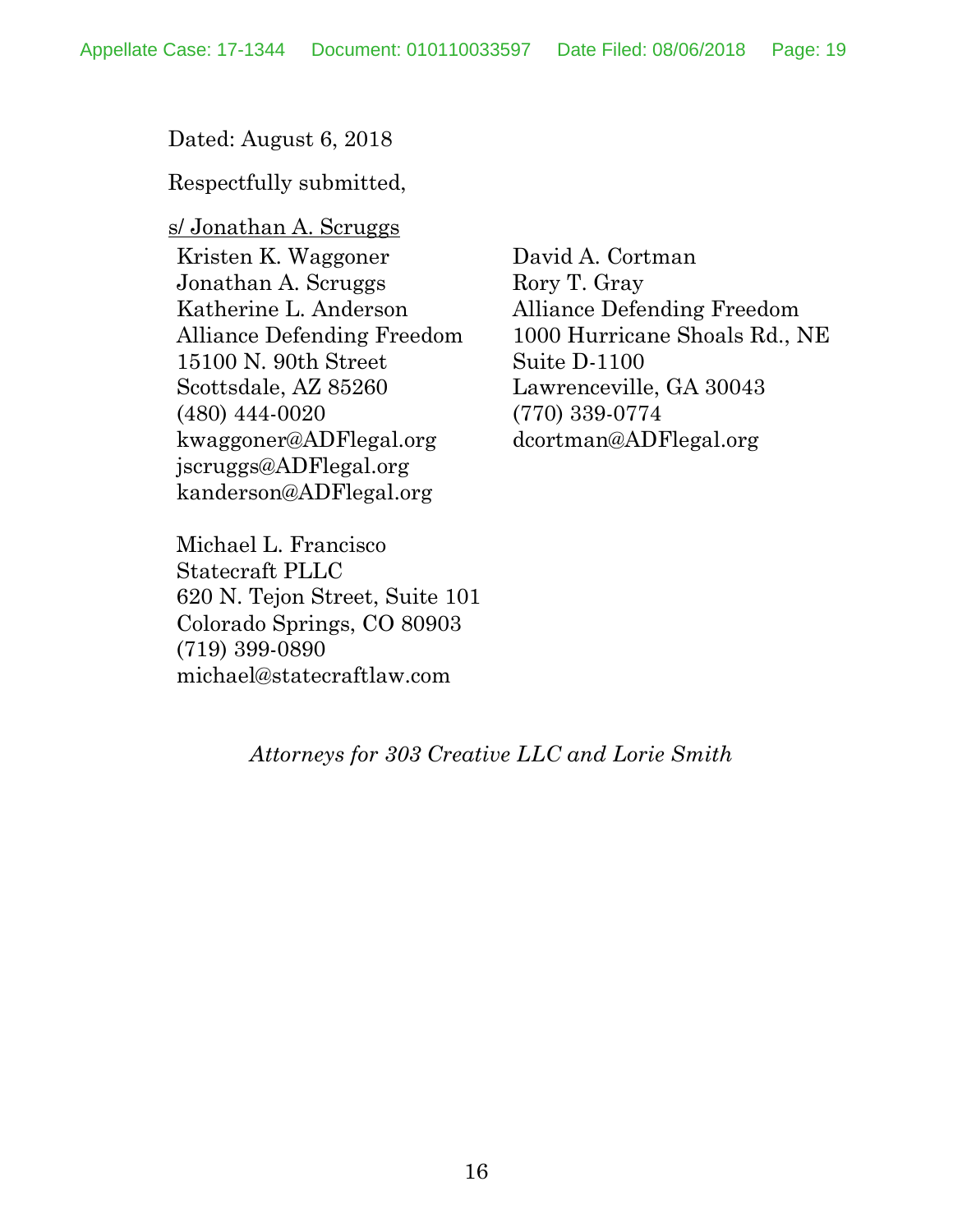Dated: August 6, 2018

Respectfully submitted,

s/ Jonathan A. Scruggs Kristen K. Waggoner Jonathan A. Scruggs Katherine L. Anderson Alliance Defending Freedom 15100 N. 90th Street Scottsdale, AZ 85260 (480) 444-0020 kwaggoner@ADFlegal.org jscruggs@ADFlegal.org kanderson@ADFlegal.org

David A. Cortman Rory T. Gray Alliance Defending Freedom 1000 Hurricane Shoals Rd., NE Suite D-1100 Lawrenceville, GA 30043 (770) 339-0774 dcortman@ADFlegal.org

Michael L. Francisco Statecraft PLLC 620 N. Tejon Street, Suite 101 Colorado Springs, CO 80903 (719) 399-0890 michael@statecraftlaw.com

*Attorneys for 303 Creative LLC and Lorie Smith*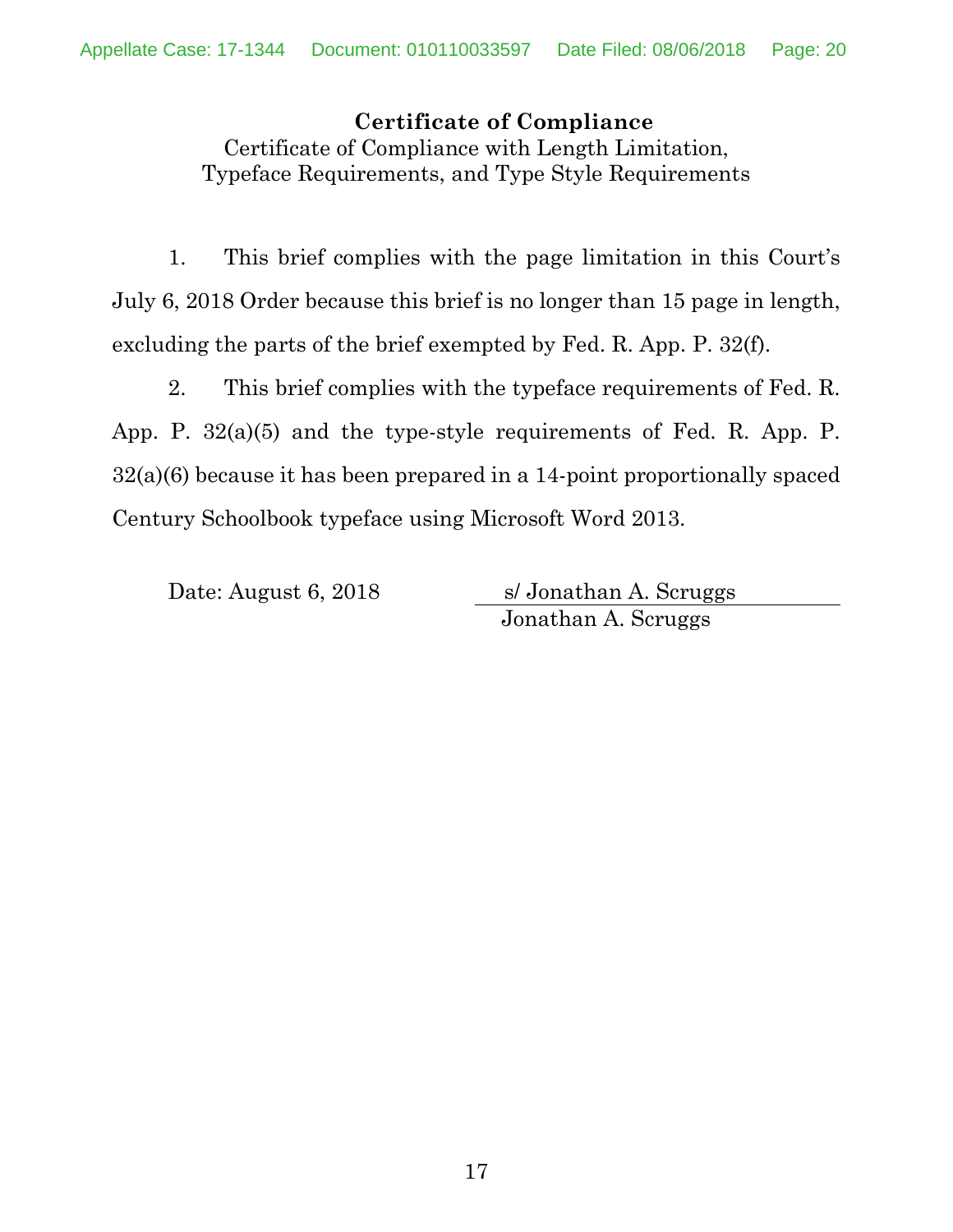**Certificate of Compliance** Certificate of Compliance with Length Limitation, Typeface Requirements, and Type Style Requirements

1. This brief complies with the page limitation in this Court's July 6, 2018 Order because this brief is no longer than 15 page in length, excluding the parts of the brief exempted by Fed. R. App. P. 32(f).

2. This brief complies with the typeface requirements of Fed. R. App. P. 32(a)(5) and the type-style requirements of Fed. R. App. P. 32(a)(6) because it has been prepared in a 14-point proportionally spaced Century Schoolbook typeface using Microsoft Word 2013.

Date: August 6, 2018 s/ Jonathan A. Scruggs Jonathan A. Scruggs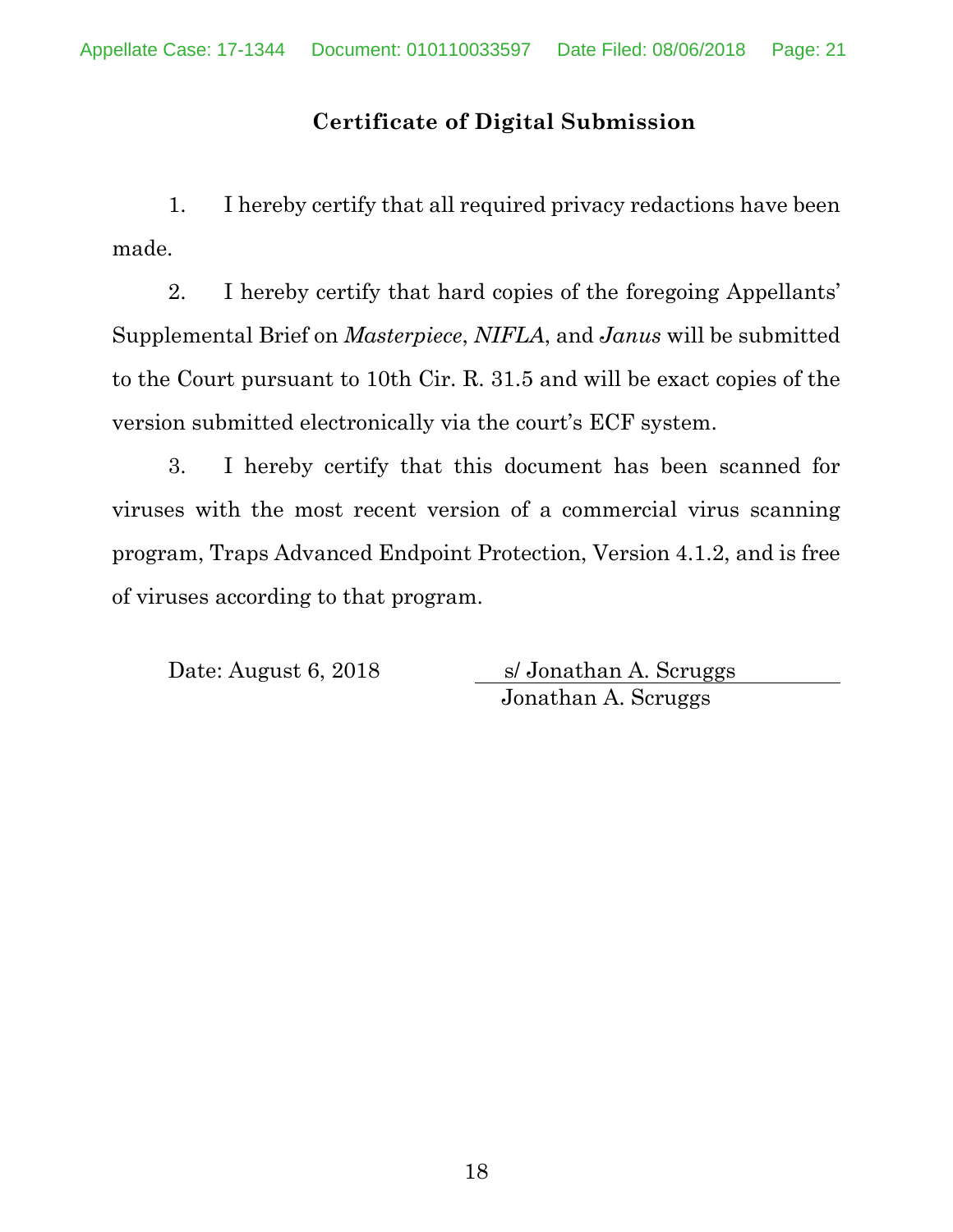## **Certificate of Digital Submission**

1. I hereby certify that all required privacy redactions have been made.

2. I hereby certify that hard copies of the foregoing Appellants' Supplemental Brief on *Masterpiece*, *NIFLA*, and *Janus* will be submitted to the Court pursuant to 10th Cir. R. 31.5 and will be exact copies of the version submitted electronically via the court's ECF system.

3. I hereby certify that this document has been scanned for viruses with the most recent version of a commercial virus scanning program, Traps Advanced Endpoint Protection, Version 4.1.2, and is free of viruses according to that program.

Date: August 6, 2018 s/ Jonathan A. Scruggs Jonathan A. Scruggs